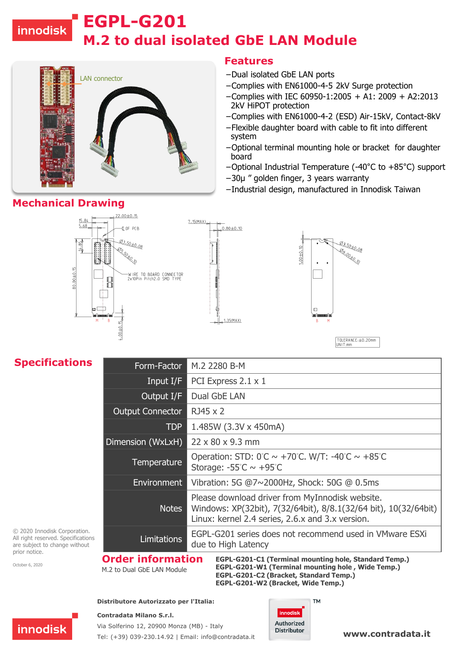# innodisk

# **M.2 to dual isolated GbE LAN Module EGPL-G201**



### **Features**

- −Dual isolated GbE LAN ports
- −Complies with EN61000-4-5 2kV Surge protection
- −Complies with IEC 60950-1:2005 + A1: 2009 + A2:2013 2kV HiPOT protection
- −Complies with EN61000-4-2 (ESD) Air-15kV, Contact-8kV
- −Flexible daughter board with cable to fit into different system
- −Optional terminal mounting hole or bracket for daughter board
- −Optional Industrial Temperature (-40°C to +85°C) support
- −30µ " golden finger, 3 years warranty
- −Industrial design, manufactured in Innodisk Taiwan



## **Specifications**

| Form-Factor                         | M.2 2280 B-M                                                                                                                                                           |
|-------------------------------------|------------------------------------------------------------------------------------------------------------------------------------------------------------------------|
| Input $I/F$                         | PCI Express 2.1 x 1                                                                                                                                                    |
| Output I/F                          | Dual GbE LAN                                                                                                                                                           |
| <b>Output Connector</b>             | RJ45 x 2                                                                                                                                                               |
| <b>TDP</b>                          | 1.485W (3.3V x 450mA)                                                                                                                                                  |
| Dimension (WxLxH)                   | 22 x 80 x 9.3 mm                                                                                                                                                       |
| <b>Temperature</b>                  | Operation: STD: $0^\circ$ C ~ +70 $\circ$ C. W/T: -40 $\circ$ C ~ +85 $\circ$ C<br>Storage: $-55^{\circ}C \sim +95^{\circ}C$                                           |
| Environment                         | Vibration: 5G @7~2000Hz, Shock: 50G @ 0.5ms                                                                                                                            |
| <b>Notes</b>                        | Please download driver from MyInnodisk website.<br>Windows: XP(32bit), 7(32/64bit), 8/8.1(32/64 bit), 10(32/64bit)<br>Linux: kernel 2.4 series, 2.6.x and 3.x version. |
| <b>Limitations</b>                  | EGPL-G201 series does not recommend used in VMware ESXi<br>due to High Latency                                                                                         |
| Nordau befaunaatban - san assi ai m |                                                                                                                                                                        |

© 2020 Innodisk Corporation. All right reserved. Specifications are subject to change without prior notice.

October 6, 2020

M.2 to Dual GbE LAN Module

**Order information EGPL-G201-C1 (Terminal mounting hole, Standard Temp.) EGPL-G201-W1 (Terminal mounting hole , Wide Temp.) EGPL-G201-C2 (Bracket, Standard Temp.) EGPL-G201-W2 (Bracket, Wide Temp.)**

#### **Distributore Autorizzato per l'Italia:**

#### **Contradata Milano S.r.l.**



Via Solferino 12, 20900 Monza (MB) - Italy Tel: (+39) 039-230.14.92 | Email: [info@contradata.it](mailto:info@contradata.it)

#### **TM** innodisk **Authorized Distributor**